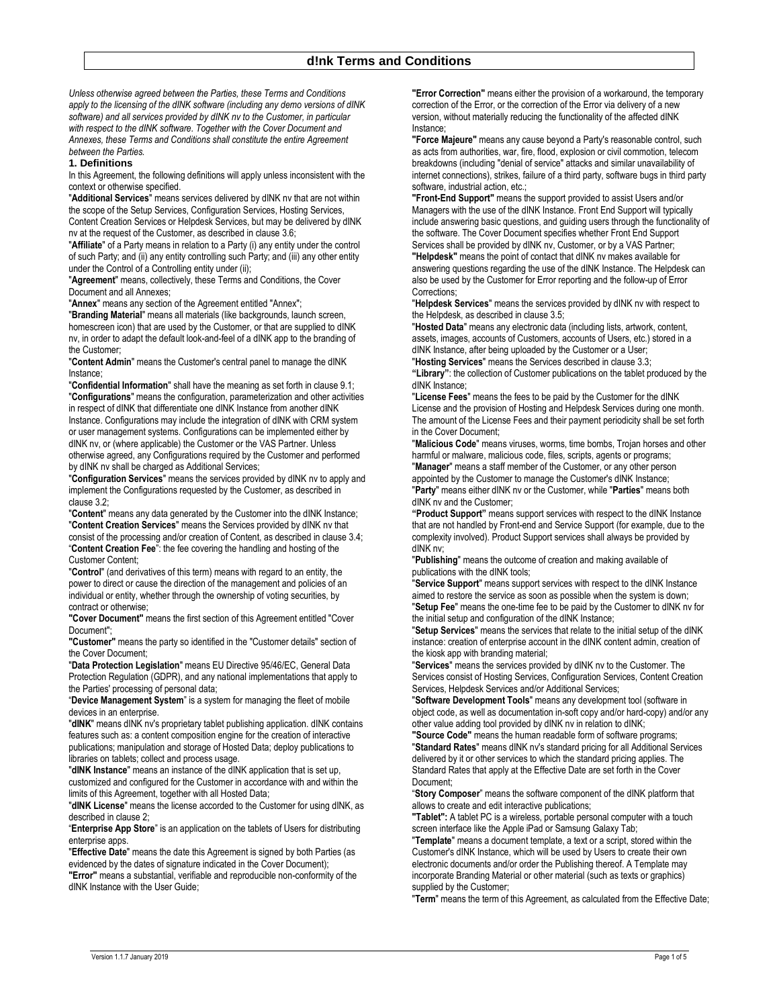*Unless otherwise agreed between the Parties, these Terms and Conditions apply to the licensing of the dINK software (including any demo versions of dINK software) and all services provided by dINK nv to the Customer, in particular with respect to the dINK software. Together with the Cover Document and Annexes, these Terms and Conditions shall constitute the entire Agreement between the Parties.* 

#### **1. Definitions**

In this Agreement, the following definitions will apply unless inconsistent with the context or otherwise specified.

"**Additional Services**" means services delivered by dINK nv that are not within the scope of the Setup Services, Configuration Services, Hosting Services, Content Creation Services or Helpdesk Services, but may be delivered by dINK nv at the request of the Customer, as described in clause 3.6;

"**Affiliate**" of a Party means in relation to a Party (i) any entity under the control of such Party; and (ii) any entity controlling such Party; and (iii) any other entity under the Control of a Controlling entity under (ii);

"**Agreement**" means, collectively, these Terms and Conditions, the Cover Document and all Annexes;

"**Annex**" means any section of the Agreement entitled "Annex";

"**Branding Material**" means all materials (like backgrounds, launch screen, homescreen icon) that are used by the Customer, or that are supplied to dINK nv, in order to adapt the default look-and-feel of a dINK app to the branding of the Customer;

"**Content Admin**" means the Customer's central panel to manage the dINK Instance;

"**Confidential Information**" shall have the meaning as set forth in clause 9.1; "**Configurations**" means the configuration, parameterization and other activities in respect of dINK that differentiate one dINK Instance from another dINK Instance. Configurations may include the integration of dINK with CRM system or user management systems. Configurations can be implemented either by dINK nv, or (where applicable) the Customer or the VAS Partner. Unless otherwise agreed, any Configurations required by the Customer and performed by dINK nv shall be charged as Additional Services;

"**Configuration Services**" means the services provided by dINK nv to apply and implement the Configurations requested by the Customer, as described in clause 3.2;

"**Content**" means any data generated by the Customer into the dINK Instance; "**Content Creation Services**" means the Services provided by dINK nv that consist of the processing and/or creation of Content, as described in clause 3.4; "**Content Creation Fee**": the fee covering the handling and hosting of the Customer Content;

"**Control**" (and derivatives of this term) means with regard to an entity, the power to direct or cause the direction of the management and policies of an individual or entity, whether through the ownership of voting securities, by contract or otherwise;

**"Cover Document"** means the first section of this Agreement entitled "Cover Document";

**"Customer"** means the party so identified in the "Customer details" section of the Cover Document;

"**Data Protection Legislation**" means EU Directive 95/46/EC, General Data Protection Regulation (GDPR), and any national implementations that apply to the Parties' processing of personal data;

"**Device Management System**" is a system for managing the fleet of mobile devices in an enterprise.

"**dINK**" means dINK nv's proprietary tablet publishing application. dINK contains features such as: a content composition engine for the creation of interactive publications; manipulation and storage of Hosted Data; deploy publications to libraries on tablets; collect and process usage.

"**dINK Instance**" means an instance of the dINK application that is set up, customized and configured for the Customer in accordance with and within the limits of this Agreement, together with all Hosted Data;

"**dINK License**" means the license accorded to the Customer for using dINK, as described in clause 2;

"**Enterprise App Store**" is an application on the tablets of Users for distributing enterprise apps.

"**Effective Date**" means the date this Agreement is signed by both Parties (as evidenced by the dates of signature indicated in the Cover Document);

**"Error"** means a substantial, verifiable and reproducible non-conformity of the dINK Instance with the User Guide;

**"Error Correction"** means either the provision of a workaround, the temporary correction of the Error, or the correction of the Error via delivery of a new version, without materially reducing the functionality of the affected dINK Instance;

**"Force Majeure"** means any cause beyond a Party's reasonable control, such as acts from authorities, war, fire, flood, explosion or civil commotion, telecom breakdowns (including "denial of service" attacks and similar unavailability of internet connections), strikes, failure of a third party, software bugs in third party software, industrial action, etc.;

**"Front-End Support"** means the support provided to assist Users and/or Managers with the use of the dINK Instance. Front End Support will typically include answering basic questions, and guiding users through the functionality of the software. The Cover Document specifies whether Front End Support Services shall be provided by dINK nv, Customer, or by a VAS Partner; **"Helpdesk"** means the point of contact that dINK nv makes available for answering questions regarding the use of the dINK Instance. The Helpdesk can also be used by the Customer for Error reporting and the follow-up of Error Corrections;

"**Helpdesk Services**" means the services provided by dINK nv with respect to the Helpdesk, as described in clause 3.5;

"**Hosted Data**" means any electronic data (including lists, artwork, content, assets, images, accounts of Customers, accounts of Users, etc.) stored in a dINK Instance, after being uploaded by the Customer or a User;

"**Hosting Services**" means the Services described in clause 3.3; **"Library"**: the collection of Customer publications on the tablet produced by the dINK Instance;

"**License Fees**" means the fees to be paid by the Customer for the dINK License and the provision of Hosting and Helpdesk Services during one month. The amount of the License Fees and their payment periodicity shall be set forth in the Cover Document;

"**Malicious Code**" means viruses, worms, time bombs, Trojan horses and other harmful or malware, malicious code, files, scripts, agents or programs;

"**Manager**" means a staff member of the Customer, or any other person appointed by the Customer to manage the Customer's dINK Instance; "**Party**" means either dINK nv or the Customer, while "**Parties**" means both dINK nv and the Customer;

**"Product Support"** means support services with respect to the dINK Instance that are not handled by Front-end and Service Support (for example, due to the complexity involved). Product Support services shall always be provided by dINK nv;

"**Publishing**" means the outcome of creation and making available of publications with the dINK tools;

"**Service Support**" means support services with respect to the dINK Instance aimed to restore the service as soon as possible when the system is down; "**Setup Fee**" means the one-time fee to be paid by the Customer to dINK nv for the initial setup and configuration of the dINK Instance;

"**Setup Services**" means the services that relate to the initial setup of the dINK instance: creation of enterprise account in the dINK content admin, creation of the kiosk app with branding material;

"**Services**" means the services provided by dINK nv to the Customer. The Services consist of Hosting Services, Configuration Services, Content Creation Services, Helpdesk Services and/or Additional Services;

"**Software Development Tools**" means any development tool (software in object code, as well as documentation in-soft copy and/or hard-copy) and/or any other value adding tool provided by dINK nv in relation to dINK;

**"Source Code"** means the human readable form of software programs; "**Standard Rates**" means dINK nv's standard pricing for all Additional Services delivered by it or other services to which the standard pricing applies. The Standard Rates that apply at the Effective Date are set forth in the Cover Document;

"**Story Composer**" means the software component of the dINK platform that allows to create and edit interactive publications;

**"Tablet":** A tablet PC is a wireless, portable personal computer with a touch screen interface like the Apple iPad or Samsung Galaxy Tab;

"**Template**" means a document template, a text or a script, stored within the Customer's dINK Instance, which will be used by Users to create their own electronic documents and/or order the Publishing thereof. A Template may incorporate Branding Material or other material (such as texts or graphics) supplied by the Customer;

"**Term**" means the term of this Agreement, as calculated from the Effective Date;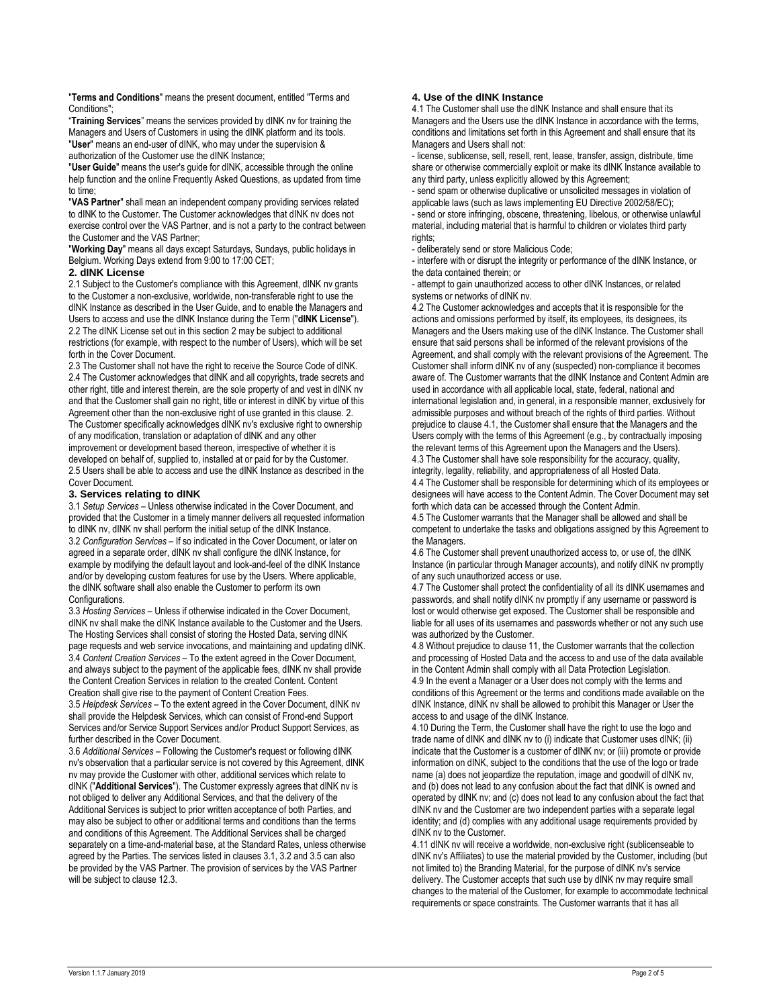"**Terms and Conditions**" means the present document, entitled "Terms and Conditions":

"**Training Services**" means the services provided by dINK nv for training the Managers and Users of Customers in using the dINK platform and its tools. "**User**" means an end-user of dINK, who may under the supervision & authorization of the Customer use the dINK Instance;

"**User Guide**" means the user's guide for dINK, accessible through the online help function and the online Frequently Asked Questions, as updated from time to time;

"**VAS Partner**" shall mean an independent company providing services related to dINK to the Customer. The Customer acknowledges that dINK nv does not exercise control over the VAS Partner, and is not a party to the contract between the Customer and the VAS Partner;

"**Working Day**" means all days except Saturdays, Sundays, public holidays in Belgium. Working Days extend from 9:00 to 17:00 CET;

## **2. dINK License**

2.1 Subject to the Customer's compliance with this Agreement, dINK nv grants to the Customer a non-exclusive, worldwide, non-transferable right to use the dINK Instance as described in the User Guide, and to enable the Managers and Users to access and use the dINK Instance during the Term ("**dINK License**"). 2.2 The dINK License set out in this section 2 may be subject to additional restrictions (for example, with respect to the number of Users), which will be set forth in the Cover Document.

2.3 The Customer shall not have the right to receive the Source Code of dINK. 2.4 The Customer acknowledges that dINK and all copyrights, trade secrets and other right, title and interest therein, are the sole property of and vest in dINK nv and that the Customer shall gain no right, title or interest in dINK by virtue of this Agreement other than the non-exclusive right of use granted in this clause. 2. The Customer specifically acknowledges dINK nv's exclusive right to ownership of any modification, translation or adaptation of dINK and any other improvement or development based thereon, irrespective of whether it is developed on behalf of, supplied to, installed at or paid for by the Customer. 2.5 Users shall be able to access and use the dINK Instance as described in the Cover Document.

#### **3. Services relating to dINK**

3.1 *Setup Services* – Unless otherwise indicated in the Cover Document, and provided that the Customer in a timely manner delivers all requested information to dINK nv, dINK nv shall perform the initial setup of the dINK Instance. 3.2 *Configuration Services* – If so indicated in the Cover Document, or later on agreed in a separate order, dINK nv shall configure the dINK Instance, for example by modifying the default layout and look-and-feel of the dINK Instance and/or by developing custom features for use by the Users. Where applicable, the dINK software shall also enable the Customer to perform its own Configurations.

3.3 *Hosting Services* – Unless if otherwise indicated in the Cover Document, dINK nv shall make the dINK Instance available to the Customer and the Users. The Hosting Services shall consist of storing the Hosted Data, serving dINK page requests and web service invocations, and maintaining and updating dINK. 3.4 *Content Creation Services* – To the extent agreed in the Cover Document, and always subject to the payment of the applicable fees, dINK nv shall provide the Content Creation Services in relation to the created Content. Content Creation shall give rise to the payment of Content Creation Fees.

3.5 *Helpdesk Services* – To the extent agreed in the Cover Document, dINK nv shall provide the Helpdesk Services, which can consist of Frond-end Support Services and/or Service Support Services and/or Product Support Services, as further described in the Cover Document.

3.6 *Additional Services* – Following the Customer's request or following dINK nv's observation that a particular service is not covered by this Agreement, dINK nv may provide the Customer with other, additional services which relate to dINK ("**Additional Services**"). The Customer expressly agrees that dINK nv is not obliged to deliver any Additional Services, and that the delivery of the Additional Services is subject to prior written acceptance of both Parties, and may also be subject to other or additional terms and conditions than the terms and conditions of this Agreement. The Additional Services shall be charged separately on a time-and-material base, at the Standard Rates, unless otherwise agreed by the Parties. The services listed in clauses 3.1, 3.2 and 3.5 can also be provided by the VAS Partner. The provision of services by the VAS Partner will be subject to clause 12.3.

## **4. Use of the dINK Instance**

4.1 The Customer shall use the dINK Instance and shall ensure that its Managers and the Users use the dINK Instance in accordance with the terms, conditions and limitations set forth in this Agreement and shall ensure that its Managers and Users shall not:

- license, sublicense, sell, resell, rent, lease, transfer, assign, distribute, time share or otherwise commercially exploit or make its dINK Instance available to any third party, unless explicitly allowed by this Agreement;

- send spam or otherwise duplicative or unsolicited messages in violation of applicable laws (such as laws implementing EU Directive 2002/58/EC); - send or store infringing, obscene, threatening, libelous, or otherwise unlawful material, including material that is harmful to children or violates third party rights:

- deliberately send or store Malicious Code;

- interfere with or disrupt the integrity or performance of the dINK Instance, or the data contained therein; or

- attempt to gain unauthorized access to other dINK Instances, or related systems or networks of dINK nv.

4.2 The Customer acknowledges and accepts that it is responsible for the actions and omissions performed by itself, its employees, its designees, its Managers and the Users making use of the dINK Instance. The Customer shall ensure that said persons shall be informed of the relevant provisions of the Agreement, and shall comply with the relevant provisions of the Agreement. The Customer shall inform dINK nv of any (suspected) non-compliance it becomes aware of. The Customer warrants that the dINK Instance and Content Admin are used in accordance with all applicable local, state, federal, national and international legislation and, in general, in a responsible manner, exclusively for admissible purposes and without breach of the rights of third parties. Without prejudice to clause 4.1, the Customer shall ensure that the Managers and the Users comply with the terms of this Agreement (e.g., by contractually imposing the relevant terms of this Agreement upon the Managers and the Users).

4.3 The Customer shall have sole responsibility for the accuracy, quality, integrity, legality, reliability, and appropriateness of all Hosted Data. 4.4 The Customer shall be responsible for determining which of its employees or designees will have access to the Content Admin. The Cover Document may set forth which data can be accessed through the Content Admin.

4.5 The Customer warrants that the Manager shall be allowed and shall be competent to undertake the tasks and obligations assigned by this Agreement to the Managers.

4.6 The Customer shall prevent unauthorized access to, or use of, the dINK Instance (in particular through Manager accounts), and notify dINK nv promptly of any such unauthorized access or use.

4.7 The Customer shall protect the confidentiality of all its dINK usernames and passwords, and shall notify dINK nv promptly if any username or password is lost or would otherwise get exposed. The Customer shall be responsible and liable for all uses of its usernames and passwords whether or not any such use was authorized by the Customer.

4.8 Without prejudice to clause 11, the Customer warrants that the collection and processing of Hosted Data and the access to and use of the data available in the Content Admin shall comply with all Data Protection Legislation. 4.9 In the event a Manager or a User does not comply with the terms and conditions of this Agreement or the terms and conditions made available on the dINK Instance, dINK nv shall be allowed to prohibit this Manager or User the access to and usage of the dINK Instance.

4.10 During the Term, the Customer shall have the right to use the logo and trade name of dINK and dINK nv to (i) indicate that Customer uses dINK; (ii) indicate that the Customer is a customer of dINK nv; or (iii) promote or provide information on dINK, subject to the conditions that the use of the logo or trade name (a) does not jeopardize the reputation, image and goodwill of dINK nv, and (b) does not lead to any confusion about the fact that dINK is owned and operated by dINK nv; and (c) does not lead to any confusion about the fact that dINK nv and the Customer are two independent parties with a separate legal identity; and (d) complies with any additional usage requirements provided by dINK nv to the Customer.

4.11 dINK nv will receive a worldwide, non-exclusive right (sublicenseable to dINK nv's Affiliates) to use the material provided by the Customer, including (but not limited to) the Branding Material, for the purpose of dINK nv's service delivery. The Customer accepts that such use by dINK nv may require small changes to the material of the Customer, for example to accommodate technical requirements or space constraints. The Customer warrants that it has all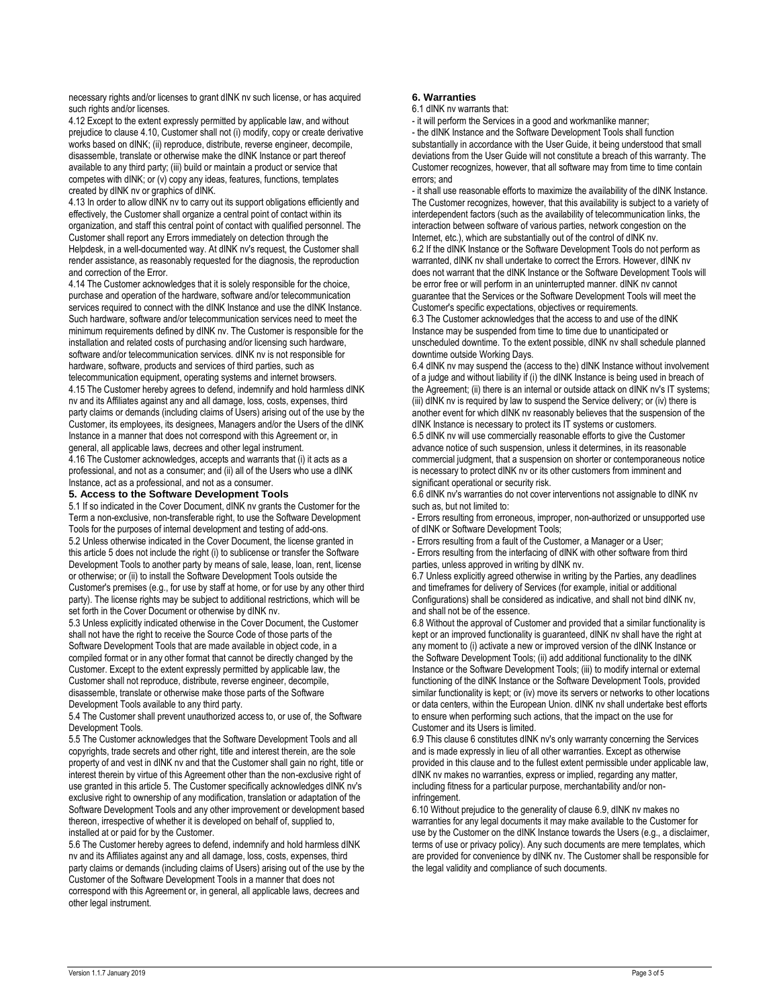necessary rights and/or licenses to grant dINK nv such license, or has acquired such rights and/or licenses.

4.12 Except to the extent expressly permitted by applicable law, and without prejudice to clause 4.10, Customer shall not (i) modify, copy or create derivative works based on dINK; (ii) reproduce, distribute, reverse engineer, decompile, disassemble, translate or otherwise make the dINK Instance or part thereof available to any third party; (iii) build or maintain a product or service that competes with dINK; or (v) copy any ideas, features, functions, templates created by dINK nv or graphics of dINK.

4.13 In order to allow dINK nv to carry out its support obligations efficiently and effectively, the Customer shall organize a central point of contact within its organization, and staff this central point of contact with qualified personnel. The Customer shall report any Errors immediately on detection through the Helpdesk, in a well-documented way. At dINK ny's request, the Customer shall render assistance, as reasonably requested for the diagnosis, the reproduction and correction of the Error.

4.14 The Customer acknowledges that it is solely responsible for the choice, purchase and operation of the hardware, software and/or telecommunication services required to connect with the dINK Instance and use the dINK Instance. Such hardware, software and/or telecommunication services need to meet the minimum requirements defined by dINK nv. The Customer is responsible for the installation and related costs of purchasing and/or licensing such hardware, software and/or telecommunication services. dINK nv is not responsible for hardware, software, products and services of third parties, such as telecommunication equipment, operating systems and internet browsers.

4.15 The Customer hereby agrees to defend, indemnify and hold harmless dINK nv and its Affiliates against any and all damage, loss, costs, expenses, third party claims or demands (including claims of Users) arising out of the use by the Customer, its employees, its designees, Managers and/or the Users of the dINK Instance in a manner that does not correspond with this Agreement or, in general, all applicable laws, decrees and other legal instrument.

4.16 The Customer acknowledges, accepts and warrants that (i) it acts as a professional, and not as a consumer; and (ii) all of the Users who use a dINK Instance, act as a professional, and not as a consumer.

### **5. Access to the Software Development Tools**

5.1 If so indicated in the Cover Document, dINK nv grants the Customer for the Term a non-exclusive, non-transferable right, to use the Software Development Tools for the purposes of internal development and testing of add-ons. 5.2 Unless otherwise indicated in the Cover Document, the license granted in this article 5 does not include the right (i) to sublicense or transfer the Software Development Tools to another party by means of sale, lease, loan, rent, license or otherwise; or (ii) to install the Software Development Tools outside the Customer's premises (e.g., for use by staff at home, or for use by any other third party). The license rights may be subject to additional restrictions, which will be set forth in the Cover Document or otherwise by dINK nv.

5.3 Unless explicitly indicated otherwise in the Cover Document, the Customer shall not have the right to receive the Source Code of those parts of the Software Development Tools that are made available in object code, in a compiled format or in any other format that cannot be directly changed by the Customer. Except to the extent expressly permitted by applicable law, the Customer shall not reproduce, distribute, reverse engineer, decompile, disassemble, translate or otherwise make those parts of the Software Development Tools available to any third party.

5.4 The Customer shall prevent unauthorized access to, or use of, the Software Development Tools.

5.5 The Customer acknowledges that the Software Development Tools and all copyrights, trade secrets and other right, title and interest therein, are the sole property of and vest in dINK nv and that the Customer shall gain no right, title or interest therein by virtue of this Agreement other than the non-exclusive right of use granted in this article 5. The Customer specifically acknowledges dINK nv's exclusive right to ownership of any modification, translation or adaptation of the Software Development Tools and any other improvement or development based thereon, irrespective of whether it is developed on behalf of, supplied to, installed at or paid for by the Customer.

5.6 The Customer hereby agrees to defend, indemnify and hold harmless dINK nv and its Affiliates against any and all damage, loss, costs, expenses, third party claims or demands (including claims of Users) arising out of the use by the Customer of the Software Development Tools in a manner that does not correspond with this Agreement or, in general, all applicable laws, decrees and other legal instrument.

#### **6. Warranties**

6.1 dINK nv warrants that:

- it will perform the Services in a good and workmanlike manner;

- the dINK Instance and the Software Development Tools shall function substantially in accordance with the User Guide, it being understood that small deviations from the User Guide will not constitute a breach of this warranty. The Customer recognizes, however, that all software may from time to time contain errors; and

- it shall use reasonable efforts to maximize the availability of the dINK Instance. The Customer recognizes, however, that this availability is subject to a variety of interdependent factors (such as the availability of telecommunication links, the interaction between software of various parties, network congestion on the Internet, etc.), which are substantially out of the control of dINK nv. 6.2 If the dINK Instance or the Software Development Tools do not perform as warranted, dINK nv shall undertake to correct the Errors. However, dINK nv does not warrant that the dINK Instance or the Software Development Tools will be error free or will perform in an uninterrupted manner. dINK nv cannot guarantee that the Services or the Software Development Tools will meet the Customer's specific expectations, objectives or requirements.

6.3 The Customer acknowledges that the access to and use of the dINK Instance may be suspended from time to time due to unanticipated or unscheduled downtime. To the extent possible, dINK nv shall schedule planned downtime outside Working Days.

6.4 dINK nv may suspend the (access to the) dINK Instance without involvement of a judge and without liability if (i) the dINK Instance is being used in breach of the Agreement; (ii) there is an internal or outside attack on dINK nv's IT systems; (iii) dINK nv is required by law to suspend the Service delivery; or (iv) there is another event for which dINK nv reasonably believes that the suspension of the dINK Instance is necessary to protect its IT systems or customers. 6.5 dINK nv will use commercially reasonable efforts to give the Customer advance notice of such suspension, unless it determines, in its reasonable commercial judgment, that a suspension on shorter or contemporaneous notice is necessary to protect dINK nv or its other customers from imminent and significant operational or security risk.

6.6 dINK nv's warranties do not cover interventions not assignable to dINK nv such as, but not limited to:

- Errors resulting from erroneous, improper, non-authorized or unsupported use of dINK or Software Development Tools;

- Errors resulting from a fault of the Customer, a Manager or a User;

- Errors resulting from the interfacing of dINK with other software from third parties, unless approved in writing by dINK nv.

6.7 Unless explicitly agreed otherwise in writing by the Parties, any deadlines and timeframes for delivery of Services (for example, initial or additional Configurations) shall be considered as indicative, and shall not bind dINK nv, and shall not be of the essence.

6.8 Without the approval of Customer and provided that a similar functionality is kept or an improved functionality is guaranteed, dINK nv shall have the right at any moment to (i) activate a new or improved version of the dINK Instance or the Software Development Tools; (ii) add additional functionality to the dINK Instance or the Software Development Tools; (iii) to modify internal or external functioning of the dINK Instance or the Software Development Tools, provided similar functionality is kept; or (iv) move its servers or networks to other locations or data centers, within the European Union. dINK nv shall undertake best efforts to ensure when performing such actions, that the impact on the use for Customer and its Users is limited.

6.9 This clause 6 constitutes dINK nv's only warranty concerning the Services and is made expressly in lieu of all other warranties. Except as otherwise provided in this clause and to the fullest extent permissible under applicable law, dINK nv makes no warranties, express or implied, regarding any matter, including fitness for a particular purpose, merchantability and/or noninfringement.

6.10 Without prejudice to the generality of clause 6.9, dINK nv makes no warranties for any legal documents it may make available to the Customer for use by the Customer on the dINK Instance towards the Users (e.g., a disclaimer, terms of use or privacy policy). Any such documents are mere templates, which are provided for convenience by dINK nv. The Customer shall be responsible for the legal validity and compliance of such documents.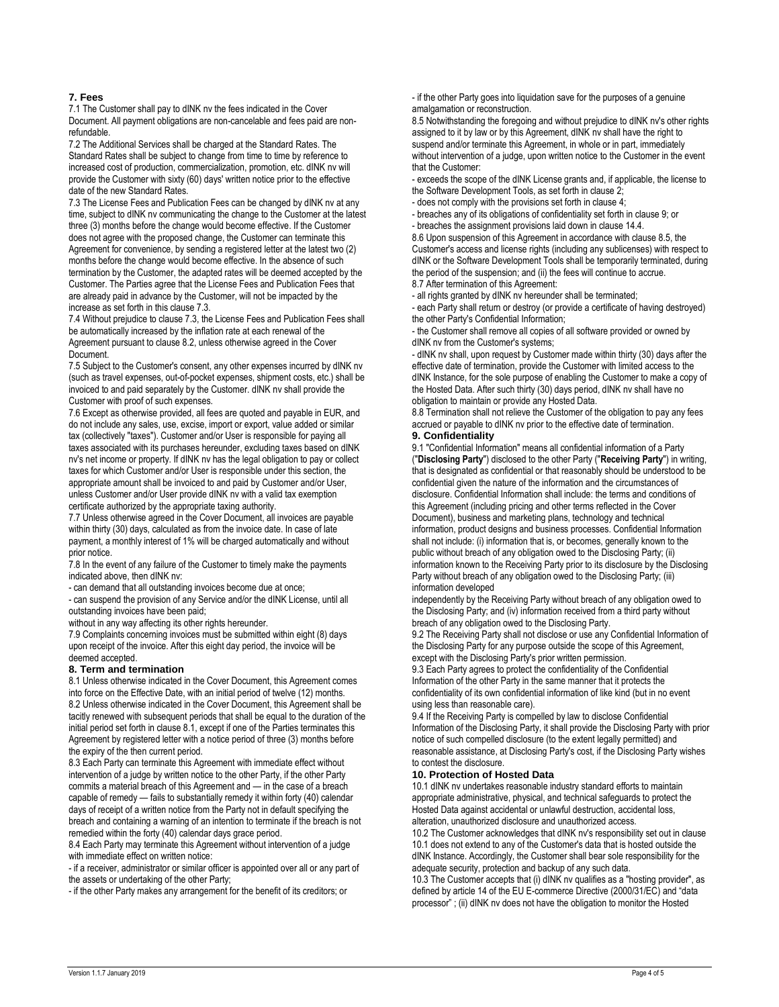## **7. Fees**

7.1 The Customer shall pay to dINK nv the fees indicated in the Cover Document. All payment obligations are non-cancelable and fees paid are nonrefundable.

7.2 The Additional Services shall be charged at the Standard Rates. The Standard Rates shall be subject to change from time to time by reference to increased cost of production, commercialization, promotion, etc. dINK nv will provide the Customer with sixty (60) days' written notice prior to the effective date of the new Standard Rates.

7.3 The License Fees and Publication Fees can be changed by dINK nv at any time, subject to dINK nv communicating the change to the Customer at the latest three (3) months before the change would become effective. If the Customer does not agree with the proposed change, the Customer can terminate this Agreement for convenience, by sending a registered letter at the latest two (2) months before the change would become effective. In the absence of such termination by the Customer, the adapted rates will be deemed accepted by the Customer. The Parties agree that the License Fees and Publication Fees that are already paid in advance by the Customer, will not be impacted by the increase as set forth in this clause 7.3.

7.4 Without prejudice to clause 7.3, the License Fees and Publication Fees shall be automatically increased by the inflation rate at each renewal of the Agreement pursuant to clause 8.2, unless otherwise agreed in the Cover Document.

7.5 Subject to the Customer's consent, any other expenses incurred by dINK nv (such as travel expenses, out-of-pocket expenses, shipment costs, etc.) shall be invoiced to and paid separately by the Customer. dINK nv shall provide the Customer with proof of such expenses.

7.6 Except as otherwise provided, all fees are quoted and payable in EUR, and do not include any sales, use, excise, import or export, value added or similar tax (collectively "taxes"). Customer and/or User is responsible for paying all taxes associated with its purchases hereunder, excluding taxes based on dINK nv's net income or property. If dINK nv has the legal obligation to pay or collect taxes for which Customer and/or User is responsible under this section, the appropriate amount shall be invoiced to and paid by Customer and/or User, unless Customer and/or User provide dINK nv with a valid tax exemption certificate authorized by the appropriate taxing authority.

7.7 Unless otherwise agreed in the Cover Document, all invoices are payable within thirty (30) days, calculated as from the invoice date. In case of late payment, a monthly interest of 1% will be charged automatically and without prior notice.

7.8 In the event of any failure of the Customer to timely make the payments indicated above, then dINK nv:

- can demand that all outstanding invoices become due at once;

- can suspend the provision of any Service and/or the dINK License, until all outstanding invoices have been paid;

without in any way affecting its other rights hereunder.

7.9 Complaints concerning invoices must be submitted within eight (8) days upon receipt of the invoice. After this eight day period, the invoice will be deemed accepted.

#### **8. Term and termination**

8.1 Unless otherwise indicated in the Cover Document, this Agreement comes into force on the Effective Date, with an initial period of twelve (12) months. 8.2 Unless otherwise indicated in the Cover Document, this Agreement shall be tacitly renewed with subsequent periods that shall be equal to the duration of the initial period set forth in clause 8.1, except if one of the Parties terminates this Agreement by registered letter with a notice period of three (3) months before the expiry of the then current period.

8.3 Each Party can terminate this Agreement with immediate effect without intervention of a judge by written notice to the other Party, if the other Party commits a material breach of this Agreement and — in the case of a breach capable of remedy — fails to substantially remedy it within forty (40) calendar days of receipt of a written notice from the Party not in default specifying the breach and containing a warning of an intention to terminate if the breach is not remedied within the forty (40) calendar days grace period.

8.4 Each Party may terminate this Agreement without intervention of a judge with immediate effect on written notice:

- if a receiver, administrator or similar officer is appointed over all or any part of the assets or undertaking of the other Party;

- if the other Party makes any arrangement for the benefit of its creditors; or

- if the other Party goes into liquidation save for the purposes of a genuine amalgamation or reconstruction.

8.5 Notwithstanding the foregoing and without prejudice to dINK nv's other rights assigned to it by law or by this Agreement, dINK nv shall have the right to suspend and/or terminate this Agreement, in whole or in part, immediately without intervention of a judge, upon written notice to the Customer in the event that the Customer:

- exceeds the scope of the dINK License grants and, if applicable, the license to the Software Development Tools, as set forth in clause 2;

- does not comply with the provisions set forth in clause 4;

- breaches any of its obligations of confidentiality set forth in clause 9; or

- breaches the assignment provisions laid down in clause 14.4.

8.6 Upon suspension of this Agreement in accordance with clause 8.5, the Customer's access and license rights (including any sublicenses) with respect to dINK or the Software Development Tools shall be temporarily terminated, during the period of the suspension; and (ii) the fees will continue to accrue. 8.7 After termination of this Agreement:

- all rights granted by dINK nv hereunder shall be terminated;

- each Party shall return or destroy (or provide a certificate of having destroyed) the other Party's Confidential Information;

- the Customer shall remove all copies of all software provided or owned by dINK nv from the Customer's systems;

- dINK nv shall, upon request by Customer made within thirty (30) days after the effective date of termination, provide the Customer with limited access to the dINK Instance, for the sole purpose of enabling the Customer to make a copy of the Hosted Data. After such thirty (30) days period, dINK nv shall have no obligation to maintain or provide any Hosted Data.

8.8 Termination shall not relieve the Customer of the obligation to pay any fees accrued or payable to dINK nv prior to the effective date of termination.

# **9. Confidentiality**

9.1 "Confidential Information" means all confidential information of a Party ("**Disclosing Party**") disclosed to the other Party ("**Receiving Party**") in writing, that is designated as confidential or that reasonably should be understood to be confidential given the nature of the information and the circumstances of disclosure. Confidential Information shall include: the terms and conditions of this Agreement (including pricing and other terms reflected in the Cover Document), business and marketing plans, technology and technical information, product designs and business processes. Confidential Information shall not include: (i) information that is, or becomes, generally known to the public without breach of any obligation owed to the Disclosing Party; (ii) information known to the Receiving Party prior to its disclosure by the Disclosing Party without breach of any obligation owed to the Disclosing Party; (iii) information developed

independently by the Receiving Party without breach of any obligation owed to the Disclosing Party; and (iv) information received from a third party without breach of any obligation owed to the Disclosing Party.

9.2 The Receiving Party shall not disclose or use any Confidential Information of the Disclosing Party for any purpose outside the scope of this Agreement, except with the Disclosing Party's prior written permission.

9.3 Each Party agrees to protect the confidentiality of the Confidential Information of the other Party in the same manner that it protects the confidentiality of its own confidential information of like kind (but in no event using less than reasonable care).

9.4 If the Receiving Party is compelled by law to disclose Confidential Information of the Disclosing Party, it shall provide the Disclosing Party with prior notice of such compelled disclosure (to the extent legally permitted) and reasonable assistance, at Disclosing Party's cost, if the Disclosing Party wishes to contest the disclosure.

## **10. Protection of Hosted Data**

10.1 dINK nv undertakes reasonable industry standard efforts to maintain appropriate administrative, physical, and technical safeguards to protect the Hosted Data against accidental or unlawful destruction, accidental loss, alteration, unauthorized disclosure and unauthorized access.

10.2 The Customer acknowledges that dINK nv's responsibility set out in clause 10.1 does not extend to any of the Customer's data that is hosted outside the dINK Instance. Accordingly, the Customer shall bear sole responsibility for the adequate security, protection and backup of any such data.

10.3 The Customer accepts that (i) dINK nv qualifies as a "hosting provider", as defined by article 14 of the EU E-commerce Directive (2000/31/EC) and "data processor" ; (ii) dINK nv does not have the obligation to monitor the Hosted